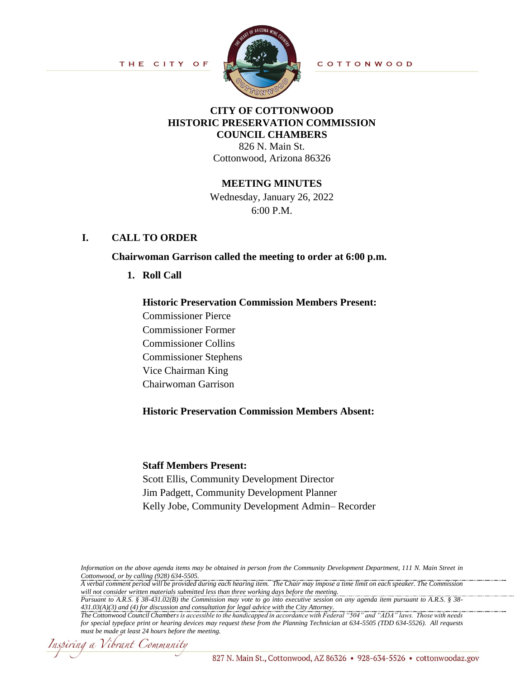THE CITY OF



COTTONWOOD

### **CITY OF COTTONWOOD HISTORIC PRESERVATION COMMISSION COUNCIL CHAMBERS**

826 N. Main St. Cottonwood, Arizona 86326

# **MEETING MINUTES**

Wednesday, January 26, 2022 6:00 P.M.

# **I. CALL TO ORDER**

#### **Chairwoman Garrison called the meeting to order at 6:00 p.m.**

**1. Roll Call**

# **Historic Preservation Commission Members Present:**

Commissioner Pierce Commissioner Former Commissioner Collins Commissioner Stephens Vice Chairman King Chairwoman Garrison

# **Historic Preservation Commission Members Absent:**

#### **Staff Members Present:**

Scott Ellis, Community Development Director Jim Padgett, Community Development Planner Kelly Jobe, Community Development Admin– Recorder

*Information on the above agenda items may be obtained in person from the Community Development Department, 111 N. Main Street in Cottonwood, or by calling (928) 634-5505.*

*A verbal comment period will be provided during each hearing item. The Chair may impose a time limit on each speaker. The Commission will not consider written materials submitted less than three working days before the meeting.*

*Pursuant to A.R.S. § 38-431.02(B) the Commission may vote to go into executive session on any agenda item pursuant to A.R.S. § 38- 431.03(A)(3) and (4) for discussion and consultation for legal advice with the City Attorney.* 

Inspiring a Vibrant Community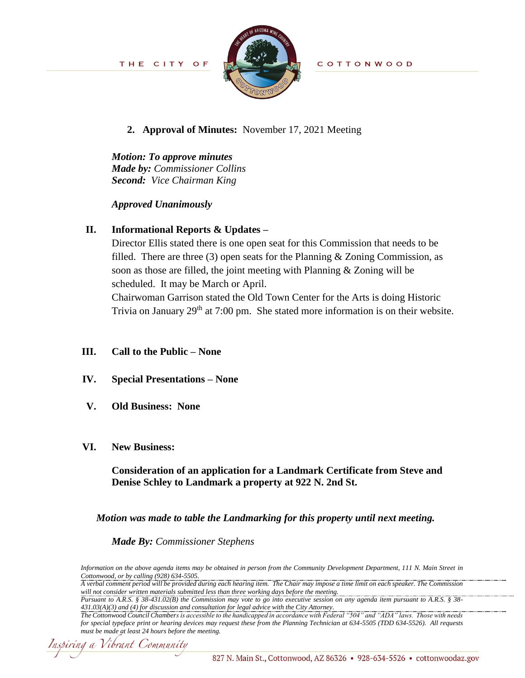

COTTONWOOD

### **2. Approval of Minutes:** November 17, 2021 Meeting

*Motion: To approve minutes Made by: Commissioner Collins Second: Vice Chairman King*

#### *Approved Unanimously*

# **II. Informational Reports & Updates –**

Director Ellis stated there is one open seat for this Commission that needs to be filled. There are three (3) open seats for the Planning  $\&$  Zoning Commission, as soon as those are filled, the joint meeting with Planning & Zoning will be scheduled. It may be March or April.

Chairwoman Garrison stated the Old Town Center for the Arts is doing Historic Trivia on January  $29<sup>th</sup>$  at 7:00 pm. She stated more information is on their website.

#### **III. Call to the Public – None**

- **IV. Special Presentations – None**
- **V. Old Business: None**

#### **VI. New Business:**

**Consideration of an application for a Landmark Certificate from Steve and Denise Schley to Landmark a property at 922 N. 2nd St.**

*Motion was made to table the Landmarking for this property until next meeting.*

*Made By: Commissioner Stephens*

*Information on the above agenda items may be obtained in person from the Community Development Department, 111 N. Main Street in Cottonwood, or by calling (928) 634-5505.*

*A verbal comment period will be provided during each hearing item. The Chair may impose a time limit on each speaker. The Commission will not consider written materials submitted less than three working days before the meeting.*

*Pursuant to A.R.S. § 38-431.02(B) the Commission may vote to go into executive session on any agenda item pursuant to A.R.S. § 38- 431.03(A)(3) and (4) for discussion and consultation for legal advice with the City Attorney.* 

Inspiring a Vibrant Community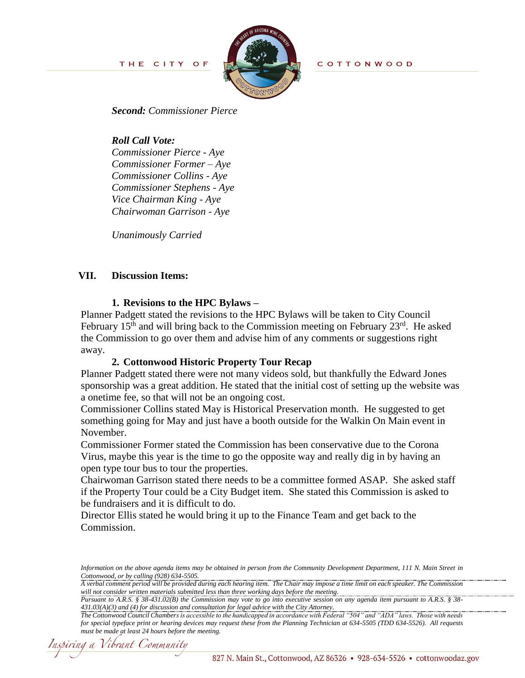THE CITY OF



COTTONWOOD

*Second: Commissioner Pierce*

*Roll Call Vote: Commissioner Pierce - Aye Commissioner Former – Aye Commissioner Collins - Aye Commissioner Stephens - Aye Vice Chairman King - Aye Chairwoman Garrison - Aye*

*Unanimously Carried*

### **VII. Discussion Items:**

#### **1. Revisions to the HPC Bylaws –**

Planner Padgett stated the revisions to the HPC Bylaws will be taken to City Council February  $15<sup>th</sup>$  and will bring back to the Commission meeting on February  $23<sup>rd</sup>$ . He asked the Commission to go over them and advise him of any comments or suggestions right away.

#### **2. Cottonwood Historic Property Tour Recap**

Planner Padgett stated there were not many videos sold, but thankfully the Edward Jones sponsorship was a great addition. He stated that the initial cost of setting up the website was a onetime fee, so that will not be an ongoing cost.

Commissioner Collins stated May is Historical Preservation month. He suggested to get something going for May and just have a booth outside for the Walkin On Main event in November.

Commissioner Former stated the Commission has been conservative due to the Corona Virus, maybe this year is the time to go the opposite way and really dig in by having an open type tour bus to tour the properties.

Chairwoman Garrison stated there needs to be a committee formed ASAP. She asked staff if the Property Tour could be a City Budget item. She stated this Commission is asked to be fundraisers and it is difficult to do.

Director Ellis stated he would bring it up to the Finance Team and get back to the Commission.

*Pursuant to A.R.S. § 38-431.02(B) the Commission may vote to go into executive session on any agenda item pursuant to A.R.S. § 38- 431.03(A)(3) and (4) for discussion and consultation for legal advice with the City Attorney.* 

Inspiring a Vibrant Community

*Information on the above agenda items may be obtained in person from the Community Development Department, 111 N. Main Street in Cottonwood, or by calling (928) 634-5505.*

*A verbal comment period will be provided during each hearing item. The Chair may impose a time limit on each speaker. The Commission will not consider written materials submitted less than three working days before the meeting.*